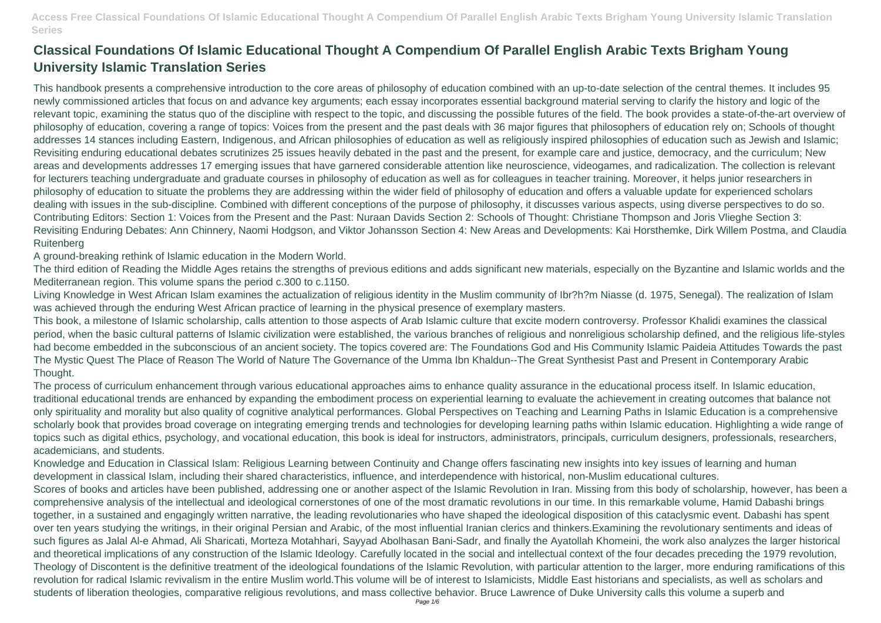This handbook presents a comprehensive introduction to the core areas of philosophy of education combined with an up-to-date selection of the central themes. It includes 95 newly commissioned articles that focus on and advance key arguments; each essay incorporates essential background material serving to clarify the history and logic of the relevant topic, examining the status quo of the discipline with respect to the topic, and discussing the possible futures of the field. The book provides a state-of-the-art overview of philosophy of education, covering a range of topics: Voices from the present and the past deals with 36 major figures that philosophers of education rely on; Schools of thought addresses 14 stances including Eastern, Indigenous, and African philosophies of education as well as religiously inspired philosophies of education such as Jewish and Islamic; Revisiting enduring educational debates scrutinizes 25 issues heavily debated in the past and the present, for example care and justice, democracy, and the curriculum; New areas and developments addresses 17 emerging issues that have garnered considerable attention like neuroscience, videogames, and radicalization. The collection is relevant for lecturers teaching undergraduate and graduate courses in philosophy of education as well as for colleagues in teacher training. Moreover, it helps junior researchers in philosophy of education to situate the problems they are addressing within the wider field of philosophy of education and offers a valuable update for experienced scholars dealing with issues in the sub-discipline. Combined with different conceptions of the purpose of philosophy, it discusses various aspects, using diverse perspectives to do so. Contributing Editors: Section 1: Voices from the Present and the Past: Nuraan Davids Section 2: Schools of Thought: Christiane Thompson and Joris Vlieghe Section 3: Revisiting Enduring Debates: Ann Chinnery, Naomi Hodgson, and Viktor Johansson Section 4: New Areas and Developments: Kai Horsthemke, Dirk Willem Postma, and Claudia **Ruitenberg** 

## **Classical Foundations Of Islamic Educational Thought A Compendium Of Parallel English Arabic Texts Brigham Young University Islamic Translation Series**

A ground-breaking rethink of Islamic education in the Modern World.

The third edition of Reading the Middle Ages retains the strengths of previous editions and adds significant new materials, especially on the Byzantine and Islamic worlds and the Mediterranean region. This volume spans the period c.300 to c.1150.

Living Knowledge in West African Islam examines the actualization of religious identity in the Muslim community of Ibr?h?m Niasse (d. 1975, Senegal). The realization of Islam was achieved through the enduring West African practice of learning in the physical presence of exemplary masters.

This book, a milestone of Islamic scholarship, calls attention to those aspects of Arab Islamic culture that excite modern controversy. Professor Khalidi examines the classical period, when the basic cultural patterns of Islamic civilization were established, the various branches of religious and nonreligious scholarship defined, and the religious life-styles had become embedded in the subconscious of an ancient society. The topics covered are: The Foundations God and His Community Islamic Paideia Attitudes Towards the past The Mystic Quest The Place of Reason The World of Nature The Governance of the Umma Ibn Khaldun--The Great Synthesist Past and Present in Contemporary Arabic Thought.

The process of curriculum enhancement through various educational approaches aims to enhance quality assurance in the educational process itself. In Islamic education, traditional educational trends are enhanced by expanding the embodiment process on experiential learning to evaluate the achievement in creating outcomes that balance not only spirituality and morality but also quality of cognitive analytical performances. Global Perspectives on Teaching and Learning Paths in Islamic Education is a comprehensive scholarly book that provides broad coverage on integrating emerging trends and technologies for developing learning paths within Islamic education. Highlighting a wide range of topics such as digital ethics, psychology, and vocational education, this book is ideal for instructors, administrators, principals, curriculum designers, professionals, researchers, academicians, and students.

Knowledge and Education in Classical Islam: Religious Learning between Continuity and Change offers fascinating new insights into key issues of learning and human development in classical Islam, including their shared characteristics, influence, and interdependence with historical, non-Muslim educational cultures. Scores of books and articles have been published, addressing one or another aspect of the Islamic Revolution in Iran. Missing from this body of scholarship, however, has been a comprehensive analysis of the intellectual and ideological cornerstones of one of the most dramatic revolutions in our time. In this remarkable volume, Hamid Dabashi brings together, in a sustained and engagingly written narrative, the leading revolutionaries who have shaped the ideological disposition of this cataclysmic event. Dabashi has spent over ten years studying the writings, in their original Persian and Arabic, of the most influential Iranian clerics and thinkers.Examining the revolutionary sentiments and ideas of such figures as Jalal Al-e Ahmad, Ali Sharicati, Morteza Motahhari, Sayyad Abolhasan Bani-Sadr, and finally the Ayatollah Khomeini, the work also analyzes the larger historical and theoretical implications of any construction of the Islamic Ideology. Carefully located in the social and intellectual context of the four decades preceding the 1979 revolution, Theology of Discontent is the definitive treatment of the ideological foundations of the Islamic Revolution, with particular attention to the larger, more enduring ramifications of this revolution for radical Islamic revivalism in the entire Muslim world.This volume will be of interest to Islamicists, Middle East historians and specialists, as well as scholars and students of liberation theologies, comparative religious revolutions, and mass collective behavior. Bruce Lawrence of Duke University calls this volume a superb and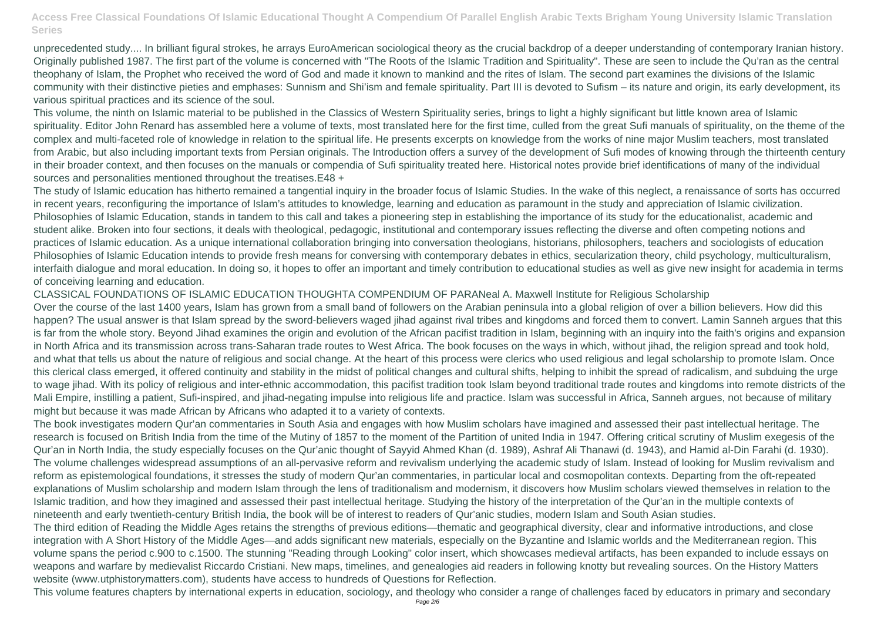unprecedented study.... In brilliant figural strokes, he arrays EuroAmerican sociological theory as the crucial backdrop of a deeper understanding of contemporary Iranian history. Originally published 1987. The first part of the volume is concerned with "The Roots of the Islamic Tradition and Spirituality". These are seen to include the Qu'ran as the central theophany of Islam, the Prophet who received the word of God and made it known to mankind and the rites of Islam. The second part examines the divisions of the Islamic community with their distinctive pieties and emphases: Sunnism and Shi'ism and female spirituality. Part III is devoted to Sufism – its nature and origin, its early development, its various spiritual practices and its science of the soul.

This volume, the ninth on Islamic material to be published in the Classics of Western Spirituality series, brings to light a highly significant but little known area of Islamic spirituality. Editor John Renard has assembled here a volume of texts, most translated here for the first time, culled from the great Sufi manuals of spirituality, on the theme of the complex and multi-faceted role of knowledge in relation to the spiritual life. He presents excerpts on knowledge from the works of nine major Muslim teachers, most translated from Arabic, but also including important texts from Persian originals. The Introduction offers a survey of the development of Sufi modes of knowing through the thirteenth century in their broader context, and then focuses on the manuals or compendia of Sufi spirituality treated here. Historical notes provide brief identifications of many of the individual sources and personalities mentioned throughout the treatises.E48 +

The study of Islamic education has hitherto remained a tangential inquiry in the broader focus of Islamic Studies. In the wake of this neglect, a renaissance of sorts has occurred in recent years, reconfiguring the importance of Islam's attitudes to knowledge, learning and education as paramount in the study and appreciation of Islamic civilization. Philosophies of Islamic Education, stands in tandem to this call and takes a pioneering step in establishing the importance of its study for the educationalist, academic and student alike. Broken into four sections, it deals with theological, pedagogic, institutional and contemporary issues reflecting the diverse and often competing notions and practices of Islamic education. As a unique international collaboration bringing into conversation theologians, historians, philosophers, teachers and sociologists of education Philosophies of Islamic Education intends to provide fresh means for conversing with contemporary debates in ethics, secularization theory, child psychology, multiculturalism, interfaith dialogue and moral education. In doing so, it hopes to offer an important and timely contribution to educational studies as well as give new insight for academia in terms of conceiving learning and education.

CLASSICAL FOUNDATIONS OF ISLAMIC EDUCATION THOUGHTA COMPENDIUM OF PARANeal A. Maxwell Institute for Religious Scholarship Over the course of the last 1400 years, Islam has grown from a small band of followers on the Arabian peninsula into a global religion of over a billion believers. How did this happen? The usual answer is that Islam spread by the sword-believers waged jihad against rival tribes and kingdoms and forced them to convert. Lamin Sanneh argues that this is far from the whole story. Beyond Jihad examines the origin and evolution of the African pacifist tradition in Islam, beginning with an inquiry into the faith's origins and expansion in North Africa and its transmission across trans-Saharan trade routes to West Africa. The book focuses on the ways in which, without jihad, the religion spread and took hold, and what that tells us about the nature of religious and social change. At the heart of this process were clerics who used religious and legal scholarship to promote Islam. Once this clerical class emerged, it offered continuity and stability in the midst of political changes and cultural shifts, helping to inhibit the spread of radicalism, and subduing the urge to wage jihad. With its policy of religious and inter-ethnic accommodation, this pacifist tradition took Islam beyond traditional trade routes and kingdoms into remote districts of the Mali Empire, instilling a patient, Sufi-inspired, and jihad-negating impulse into religious life and practice. Islam was successful in Africa, Sanneh argues, not because of military might but because it was made African by Africans who adapted it to a variety of contexts.

The book investigates modern Qur'an commentaries in South Asia and engages with how Muslim scholars have imagined and assessed their past intellectual heritage. The research is focused on British India from the time of the Mutiny of 1857 to the moment of the Partition of united India in 1947. Offering critical scrutiny of Muslim exegesis of the Qur'an in North India, the study especially focuses on the Qur'anic thought of Sayyid Ahmed Khan (d. 1989), Ashraf Ali Thanawi (d. 1943), and Hamid al-Din Farahi (d. 1930). The volume challenges widespread assumptions of an all-pervasive reform and revivalism underlying the academic study of Islam. Instead of looking for Muslim revivalism and reform as epistemological foundations, it stresses the study of modern Qur'an commentaries, in particular local and cosmopolitan contexts. Departing from the oft-repeated explanations of Muslim scholarship and modern Islam through the lens of traditionalism and modernism, it discovers how Muslim scholars viewed themselves in relation to the Islamic tradition, and how they imagined and assessed their past intellectual heritage. Studying the history of the interpretation of the Qur'an in the multiple contexts of nineteenth and early twentieth-century British India, the book will be of interest to readers of Qur'anic studies, modern Islam and South Asian studies. The third edition of Reading the Middle Ages retains the strengths of previous editions—thematic and geographical diversity, clear and informative introductions, and close integration with A Short History of the Middle Ages—and adds significant new materials, especially on the Byzantine and Islamic worlds and the Mediterranean region. This volume spans the period c.900 to c.1500. The stunning "Reading through Looking" color insert, which showcases medieval artifacts, has been expanded to include essays on weapons and warfare by medievalist Riccardo Cristiani. New maps, timelines, and genealogies aid readers in following knotty but revealing sources. On the History Matters website (www.utphistorymatters.com), students have access to hundreds of Questions for Reflection.

This volume features chapters by international experts in education, sociology, and theology who consider a range of challenges faced by educators in primary and secondary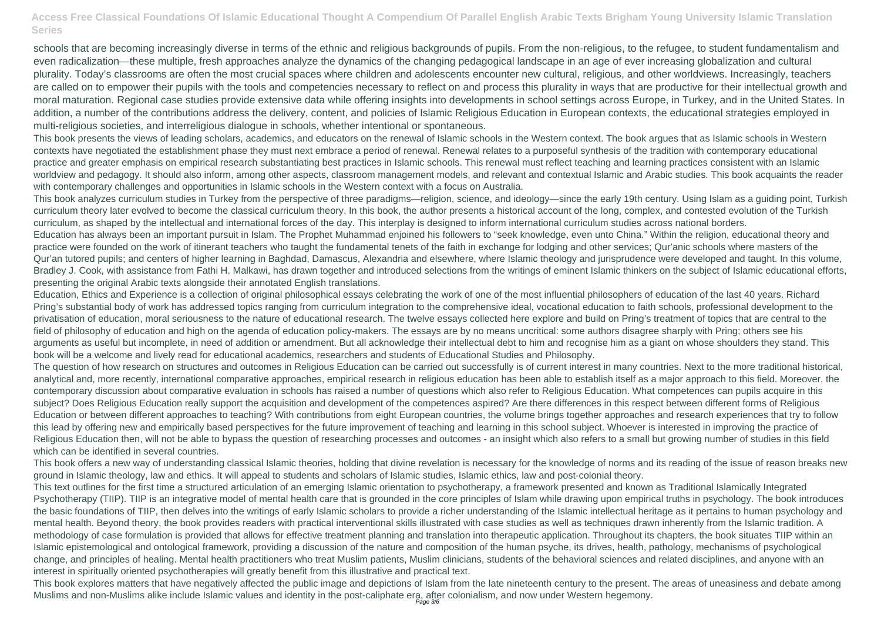This book presents the views of leading scholars, academics, and educators on the renewal of Islamic schools in the Western context. The book argues that as Islamic schools in Western contexts have negotiated the establishment phase they must next embrace a period of renewal. Renewal relates to a purposeful synthesis of the tradition with contemporary educational practice and greater emphasis on empirical research substantiating best practices in Islamic schools. This renewal must reflect teaching and learning practices consistent with an Islamic worldview and pedagogy. It should also inform, among other aspects, classroom management models, and relevant and contextual Islamic and Arabic studies. This book acquaints the reader with contemporary challenges and opportunities in Islamic schools in the Western context with a focus on Australia.

schools that are becoming increasingly diverse in terms of the ethnic and religious backgrounds of pupils. From the non-religious, to the refugee, to student fundamentalism and even radicalization—these multiple, fresh approaches analyze the dynamics of the changing pedagogical landscape in an age of ever increasing globalization and cultural plurality. Today's classrooms are often the most crucial spaces where children and adolescents encounter new cultural, religious, and other worldviews. Increasingly, teachers are called on to empower their pupils with the tools and competencies necessary to reflect on and process this plurality in ways that are productive for their intellectual growth and moral maturation. Regional case studies provide extensive data while offering insights into developments in school settings across Europe, in Turkey, and in the United States. In addition, a number of the contributions address the delivery, content, and policies of Islamic Religious Education in European contexts, the educational strategies employed in multi-religious societies, and interreligious dialogue in schools, whether intentional or spontaneous.

This book analyzes curriculum studies in Turkey from the perspective of three paradigms—religion, science, and ideology—since the early 19th century. Using Islam as a guiding point, Turkish curriculum theory later evolved to become the classical curriculum theory. In this book, the author presents a historical account of the long, complex, and contested evolution of the Turkish curriculum, as shaped by the intellectual and international forces of the day. This interplay is designed to inform international curriculum studies across national borders. Education has always been an important pursuit in Islam. The Prophet Muhammad enjoined his followers to "seek knowledge, even unto China." Within the religion, educational theory and practice were founded on the work of itinerant teachers who taught the fundamental tenets of the faith in exchange for lodging and other services; Qur'anic schools where masters of the Qur'an tutored pupils; and centers of higher learning in Baghdad, Damascus, Alexandria and elsewhere, where Islamic theology and jurisprudence were developed and taught. In this volume, Bradley J. Cook, with assistance from Fathi H. Malkawi, has drawn together and introduced selections from the writings of eminent Islamic thinkers on the subiect of Islamic educational efforts, presenting the original Arabic texts alongside their annotated English translations.

This book explores matters that have negatively affected the public image and depictions of Islam from the late nineteenth century to the present. The areas of uneasiness and debate among Muslims and non-Muslims alike include Islamic values and identity in the post-caliphate era, after colonialism, and now under Western hegemony.

Education, Ethics and Experience is a collection of original philosophical essays celebrating the work of one of the most influential philosophers of education of the last 40 years. Richard Pring's substantial body of work has addressed topics ranging from curriculum integration to the comprehensive ideal, vocational education to faith schools, professional development to the privatisation of education, moral seriousness to the nature of educational research. The twelve essays collected here explore and build on Pring's treatment of topics that are central to the field of philosophy of education and high on the agenda of education policy-makers. The essays are by no means uncritical: some authors disagree sharply with Pring; others see his arguments as useful but incomplete, in need of addition or amendment. But all acknowledge their intellectual debt to him and recognise him as a giant on whose shoulders they stand. This book will be a welcome and lively read for educational academics, researchers and students of Educational Studies and Philosophy.

The question of how research on structures and outcomes in Religious Education can be carried out successfully is of current interest in many countries. Next to the more traditional historical, analytical and, more recently, international comparative approaches, empirical research in religious education has been able to establish itself as a major approach to this field. Moreover, the contemporary discussion about comparative evaluation in schools has raised a number of questions which also refer to Religious Education. What competences can pupils acquire in this subject? Does Religious Education really support the acquisition and development of the competences aspired? Are there differences in this respect between different forms of Religious Education or between different approaches to teaching? With contributions from eight European countries, the volume brings together approaches and research experiences that try to follow this lead by offering new and empirically based perspectives for the future improvement of teaching and learning in this school subject. Whoever is interested in improving the practice of Religious Education then, will not be able to bypass the question of researching processes and outcomes - an insight which also refers to a small but growing number of studies in this field which can be identified in several countries.

This book offers a new way of understanding classical Islamic theories, holding that divine revelation is necessary for the knowledge of norms and its reading of the issue of reason breaks new ground in Islamic theology, law and ethics. It will appeal to students and scholars of Islamic studies, Islamic ethics, law and post-colonial theory.

This text outlines for the first time a structured articulation of an emerging Islamic orientation to psychotherapy, a framework presented and known as Traditional Islamically Integrated Psychotherapy (TIIP). TIIP is an integrative model of mental health care that is grounded in the core principles of Islam while drawing upon empirical truths in psychology. The book introduces the basic foundations of TIIP, then delves into the writings of early Islamic scholars to provide a richer understanding of the Islamic intellectual heritage as it pertains to human psychology and mental health. Beyond theory, the book provides readers with practical interventional skills illustrated with case studies as well as techniques drawn inherently from the Islamic tradition. A methodology of case formulation is provided that allows for effective treatment planning and translation into therapeutic application. Throughout its chapters, the book situates TIIP within an Islamic epistemological and ontological framework, providing a discussion of the nature and composition of the human psyche, its drives, health, pathology, mechanisms of psychological change, and principles of healing. Mental health practitioners who treat Muslim patients, Muslim clinicians, students of the behavioral sciences and related disciplines, and anyone with an interest in spiritually oriented psychotherapies will greatly benefit from this illustrative and practical text.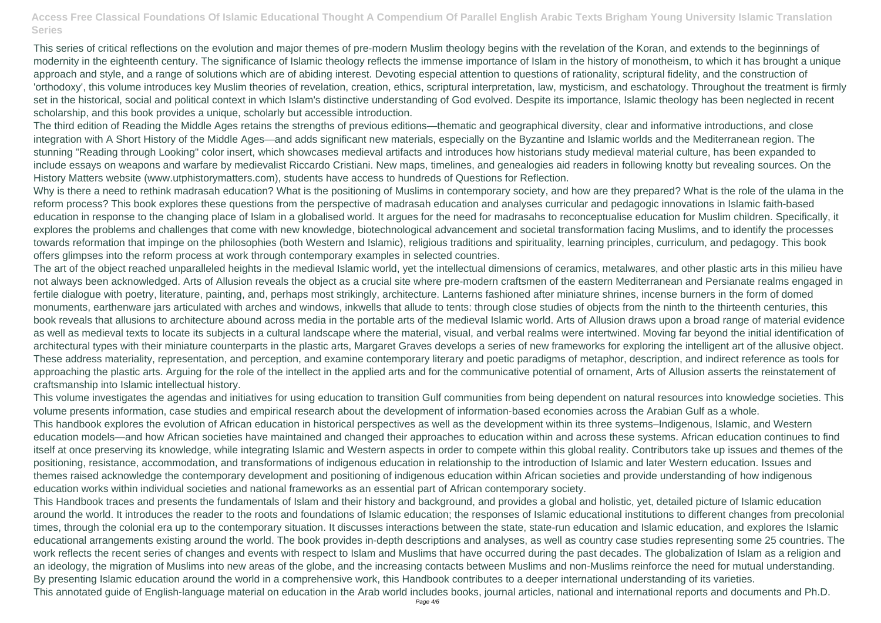This series of critical reflections on the evolution and major themes of pre-modern Muslim theology begins with the revelation of the Koran, and extends to the beginnings of modernity in the eighteenth century. The significance of Islamic theology reflects the immense importance of Islam in the history of monotheism, to which it has brought a unique approach and style, and a range of solutions which are of abiding interest. Devoting especial attention to questions of rationality, scriptural fidelity, and the construction of 'orthodoxy', this volume introduces key Muslim theories of revelation, creation, ethics, scriptural interpretation, law, mysticism, and eschatology. Throughout the treatment is firmly set in the historical, social and political context in which Islam's distinctive understanding of God evolved. Despite its importance, Islamic theology has been neglected in recent scholarship, and this book provides a unique, scholarly but accessible introduction.

The third edition of Reading the Middle Ages retains the strengths of previous editions—thematic and geographical diversity, clear and informative introductions, and close integration with A Short History of the Middle Ages—and adds significant new materials, especially on the Byzantine and Islamic worlds and the Mediterranean region. The stunning "Reading through Looking" color insert, which showcases medieval artifacts and introduces how historians study medieval material culture, has been expanded to include essays on weapons and warfare by medievalist Riccardo Cristiani. New maps, timelines, and genealogies aid readers in following knotty but revealing sources. On the History Matters website (www.utphistorymatters.com), students have access to hundreds of Questions for Reflection.

Why is there a need to rethink madrasah education? What is the positioning of Muslims in contemporary society, and how are they prepared? What is the role of the ulama in the reform process? This book explores these questions from the perspective of madrasah education and analyses curricular and pedagogic innovations in Islamic faith-based education in response to the changing place of Islam in a globalised world. It argues for the need for madrasahs to reconceptualise education for Muslim children. Specifically, it explores the problems and challenges that come with new knowledge, biotechnological advancement and societal transformation facing Muslims, and to identify the processes towards reformation that impinge on the philosophies (both Western and Islamic), religious traditions and spirituality, learning principles, curriculum, and pedagogy. This book offers glimpses into the reform process at work through contemporary examples in selected countries.

The art of the object reached unparalleled heights in the medieval Islamic world, yet the intellectual dimensions of ceramics, metalwares, and other plastic arts in this milieu have not always been acknowledged. Arts of Allusion reveals the object as a crucial site where pre-modern craftsmen of the eastern Mediterranean and Persianate realms engaged in fertile dialogue with poetry, literature, painting, and, perhaps most strikingly, architecture. Lanterns fashioned after miniature shrines, incense burners in the form of domed monuments, earthenware jars articulated with arches and windows, inkwells that allude to tents: through close studies of objects from the ninth to the thirteenth centuries, this book reveals that allusions to architecture abound across media in the portable arts of the medieval Islamic world. Arts of Allusion draws upon a broad range of material evidence as well as medieval texts to locate its subjects in a cultural landscape where the material, visual, and verbal realms were intertwined. Moving far beyond the initial identification of architectural types with their miniature counterparts in the plastic arts, Margaret Graves develops a series of new frameworks for exploring the intelligent art of the allusive object. These address materiality, representation, and perception, and examine contemporary literary and poetic paradigms of metaphor, description, and indirect reference as tools for approaching the plastic arts. Arguing for the role of the intellect in the applied arts and for the communicative potential of ornament, Arts of Allusion asserts the reinstatement of craftsmanship into Islamic intellectual history.

This volume investigates the agendas and initiatives for using education to transition Gulf communities from being dependent on natural resources into knowledge societies. This volume presents information, case studies and empirical research about the development of information-based economies across the Arabian Gulf as a whole. This handbook explores the evolution of African education in historical perspectives as well as the development within its three systems–Indigenous, Islamic, and Western education models—and how African societies have maintained and changed their approaches to education within and across these systems. African education continues to find itself at once preserving its knowledge, while integrating Islamic and Western aspects in order to compete within this global reality. Contributors take up issues and themes of the positioning, resistance, accommodation, and transformations of indigenous education in relationship to the introduction of Islamic and later Western education. Issues and themes raised acknowledge the contemporary development and positioning of indigenous education within African societies and provide understanding of how indigenous education works within individual societies and national frameworks as an essential part of African contemporary society.

This Handbook traces and presents the fundamentals of Islam and their history and background, and provides a global and holistic, yet, detailed picture of Islamic education around the world. It introduces the reader to the roots and foundations of Islamic education; the responses of Islamic educational institutions to different changes from precolonial times, through the colonial era up to the contemporary situation. It discusses interactions between the state, state-run education and Islamic education, and explores the Islamic educational arrangements existing around the world. The book provides in-depth descriptions and analyses, as well as country case studies representing some 25 countries. The work reflects the recent series of changes and events with respect to Islam and Muslims that have occurred during the past decades. The globalization of Islam as a religion and an ideology, the migration of Muslims into new areas of the globe, and the increasing contacts between Muslims and non-Muslims reinforce the need for mutual understanding. By presenting Islamic education around the world in a comprehensive work, this Handbook contributes to a deeper international understanding of its varieties. This annotated guide of English-language material on education in the Arab world includes books, journal articles, national and international reports and documents and Ph.D.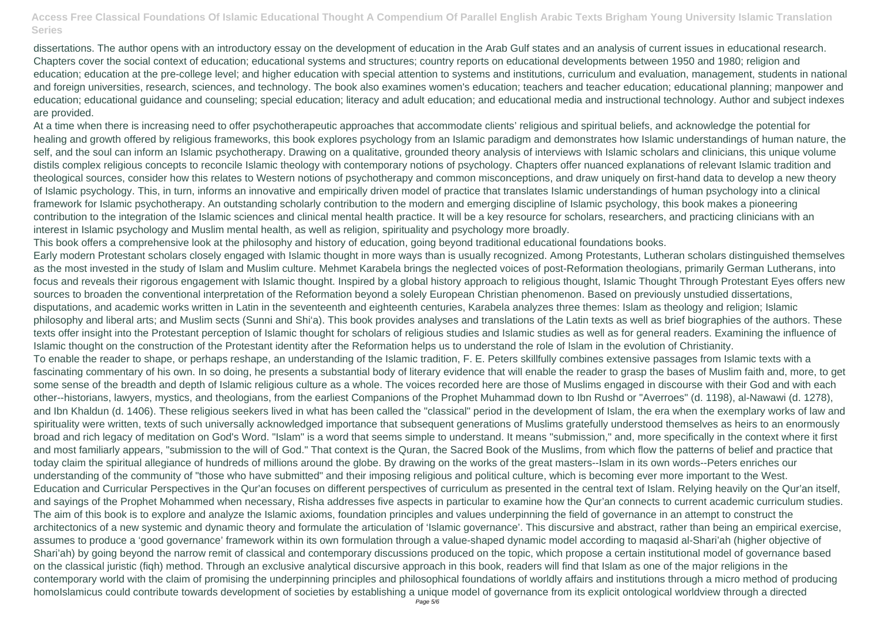dissertations. The author opens with an introductory essay on the development of education in the Arab Gulf states and an analysis of current issues in educational research. Chapters cover the social context of education; educational systems and structures; country reports on educational developments between 1950 and 1980; religion and education; education at the pre-college level; and higher education with special attention to systems and institutions, curriculum and evaluation, management, students in national and foreign universities, research, sciences, and technology. The book also examines women's education; teachers and teacher education; educational planning; manpower and education; educational guidance and counseling; special education; literacy and adult education; and educational media and instructional technology. Author and subject indexes are provided.

At a time when there is increasing need to offer psychotherapeutic approaches that accommodate clients' religious and spiritual beliefs, and acknowledge the potential for healing and growth offered by religious frameworks, this book explores psychology from an Islamic paradigm and demonstrates how Islamic understandings of human nature, the self, and the soul can inform an Islamic psychotherapy. Drawing on a qualitative, grounded theory analysis of interviews with Islamic scholars and clinicians, this unique volume distils complex religious concepts to reconcile Islamic theology with contemporary notions of psychology. Chapters offer nuanced explanations of relevant Islamic tradition and theological sources, consider how this relates to Western notions of psychotherapy and common misconceptions, and draw uniquely on first-hand data to develop a new theory of Islamic psychology. This, in turn, informs an innovative and empirically driven model of practice that translates Islamic understandings of human psychology into a clinical framework for Islamic psychotherapy. An outstanding scholarly contribution to the modern and emerging discipline of Islamic psychology, this book makes a pioneering contribution to the integration of the Islamic sciences and clinical mental health practice. It will be a key resource for scholars, researchers, and practicing clinicians with an interest in Islamic psychology and Muslim mental health, as well as religion, spirituality and psychology more broadly.

This book offers a comprehensive look at the philosophy and history of education, going beyond traditional educational foundations books. Early modern Protestant scholars closely engaged with Islamic thought in more ways than is usually recognized. Among Protestants, Lutheran scholars distinguished themselves as the most invested in the study of Islam and Muslim culture. Mehmet Karabela brings the neglected voices of post-Reformation theologians, primarily German Lutherans, into focus and reveals their rigorous engagement with Islamic thought. Inspired by a global history approach to religious thought, Islamic Thought Through Protestant Eyes offers new sources to broaden the conventional interpretation of the Reformation beyond a solely European Christian phenomenon. Based on previously unstudied dissertations, disputations, and academic works written in Latin in the seventeenth and eighteenth centuries, Karabela analyzes three themes: Islam as theology and religion; Islamic philosophy and liberal arts; and Muslim sects (Sunni and Shi'a). This book provides analyses and translations of the Latin texts as well as brief biographies of the authors. These texts offer insight into the Protestant perception of Islamic thought for scholars of religious studies and Islamic studies as well as for general readers. Examining the influence of Islamic thought on the construction of the Protestant identity after the Reformation helps us to understand the role of Islam in the evolution of Christianity. To enable the reader to shape, or perhaps reshape, an understanding of the Islamic tradition, F. E. Peters skillfully combines extensive passages from Islamic texts with a fascinating commentary of his own. In so doing, he presents a substantial body of literary evidence that will enable the reader to grasp the bases of Muslim faith and, more, to get some sense of the breadth and depth of Islamic religious culture as a whole. The voices recorded here are those of Muslims engaged in discourse with their God and with each other--historians, lawyers, mystics, and theologians, from the earliest Companions of the Prophet Muhammad down to Ibn Rushd or "Averroes" (d. 1198), al-Nawawi (d. 1278), and Ibn Khaldun (d. 1406). These religious seekers lived in what has been called the "classical" period in the development of Islam, the era when the exemplary works of law and spirituality were written, texts of such universally acknowledged importance that subsequent generations of Muslims gratefully understood themselves as heirs to an enormously broad and rich legacy of meditation on God's Word. "Islam" is a word that seems simple to understand. It means "submission," and, more specifically in the context where it first and most familiarly appears, "submission to the will of God." That context is the Quran, the Sacred Book of the Muslims, from which flow the patterns of belief and practice that today claim the spiritual allegiance of hundreds of millions around the globe. By drawing on the works of the great masters--Islam in its own words--Peters enriches our understanding of the community of "those who have submitted" and their imposing religious and political culture, which is becoming ever more important to the West. Education and Curricular Perspectives in the Qur'an focuses on different perspectives of curriculum as presented in the central text of Islam. Relying heavily on the Qur'an itself, and sayings of the Prophet Mohammed when necessary, Risha addresses five aspects in particular to examine how the Qur'an connects to current academic curriculum studies. The aim of this book is to explore and analyze the Islamic axioms, foundation principles and values underpinning the field of governance in an attempt to construct the architectonics of a new systemic and dynamic theory and formulate the articulation of 'Islamic governance'. This discursive and abstract, rather than being an empirical exercise, assumes to produce a 'good governance' framework within its own formulation through a value-shaped dynamic model according to maqasid al-Shari'ah (higher objective of Shari'ah) by going beyond the narrow remit of classical and contemporary discussions produced on the topic, which propose a certain institutional model of governance based on the classical juristic (fiqh) method. Through an exclusive analytical discursive approach in this book, readers will find that Islam as one of the major religions in the contemporary world with the claim of promising the underpinning principles and philosophical foundations of worldly affairs and institutions through a micro method of producing homoIslamicus could contribute towards development of societies by establishing a unique model of governance from its explicit ontological worldview through a directed